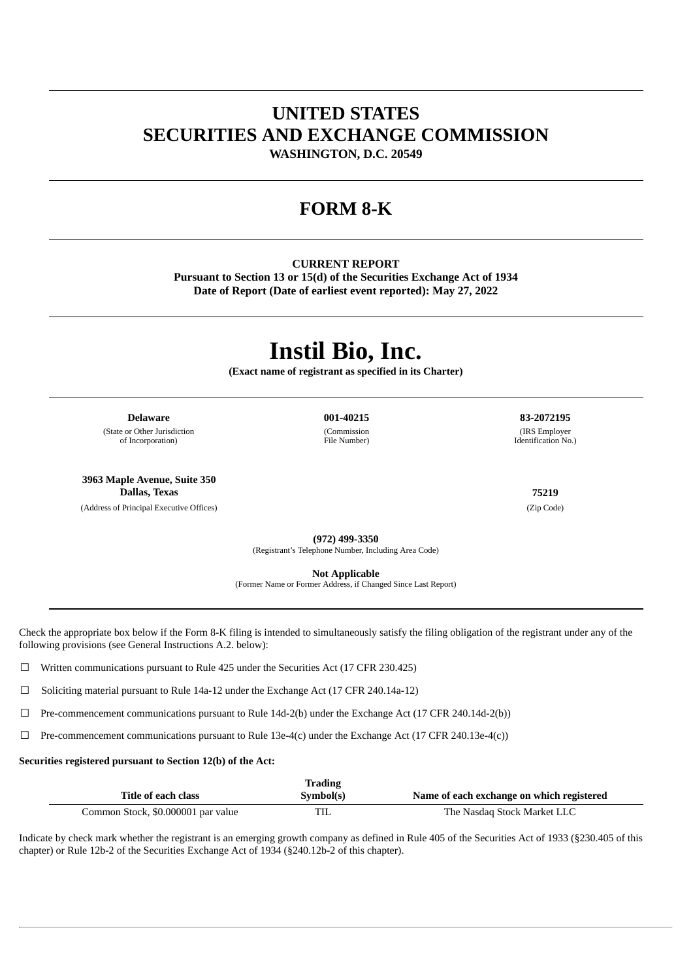## **UNITED STATES SECURITIES AND EXCHANGE COMMISSION**

**WASHINGTON, D.C. 20549**

## **FORM 8-K**

#### **CURRENT REPORT**

**Pursuant to Section 13 or 15(d) of the Securities Exchange Act of 1934 Date of Report (Date of earliest event reported): May 27, 2022**

# **Instil Bio, Inc.**

**(Exact name of registrant as specified in its Charter)**

**Delaware 001-40215 83-2072195**

(State or Other Jurisdiction of Incorporation)

**3963 Maple Avenue, Suite 350 Dallas, Texas 75219**

(Address of Principal Executive Offices) (Zip Code)

(Commission File Number)

(IRS Employer

Identification No.)

**(972) 499-3350**

(Registrant's Telephone Number, Including Area Code)

**Not Applicable**

(Former Name or Former Address, if Changed Since Last Report)

Check the appropriate box below if the Form 8-K filing is intended to simultaneously satisfy the filing obligation of the registrant under any of the following provisions (see General Instructions A.2. below):

☐ Written communications pursuant to Rule 425 under the Securities Act (17 CFR 230.425)

☐ Soliciting material pursuant to Rule 14a-12 under the Exchange Act (17 CFR 240.14a-12)

 $\Box$  Pre-commencement communications pursuant to Rule 14d-2(b) under the Exchange Act (17 CFR 240.14d-2(b))

☐ Pre-commencement communications pursuant to Rule 13e-4(c) under the Exchange Act (17 CFR 240.13e-4(c))

#### **Securities registered pursuant to Section 12(b) of the Act:**

|                                    | Trading   |                                           |
|------------------------------------|-----------|-------------------------------------------|
| Title of each class                | Symbol(s) | Name of each exchange on which registered |
| Common Stock, \$0,000001 par value | TIL       | The Nasdaq Stock Market LLC               |

Indicate by check mark whether the registrant is an emerging growth company as defined in Rule 405 of the Securities Act of 1933 (§230.405 of this chapter) or Rule 12b-2 of the Securities Exchange Act of 1934 (§240.12b-2 of this chapter).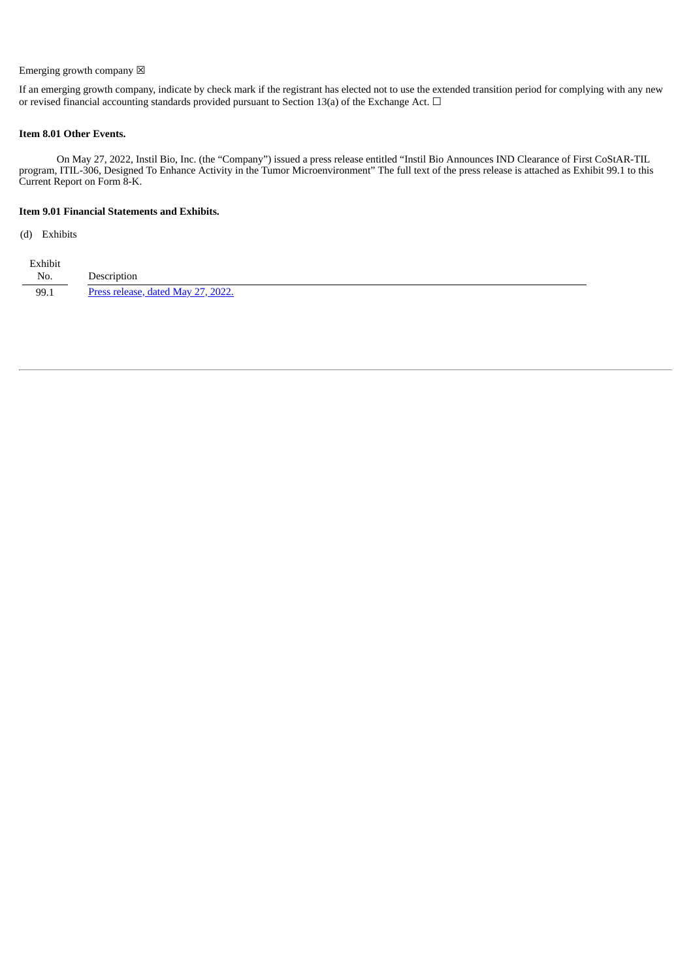#### Emerging growth company  $\boxtimes$

If an emerging growth company, indicate by check mark if the registrant has elected not to use the extended transition period for complying with any new or revised financial accounting standards provided pursuant to Section 13(a) of the Exchange Act. □

#### **Item 8.01 Other Events.**

On May 27, 2022, Instil Bio, Inc. (the "Company") issued a press release entitled "Instil Bio Announces IND Clearance of First CoStAR-TIL program, ITIL-306, Designed To Enhance Activity in the Tumor Microenvironment" The full text of the press release is attached as Exhibit 99.1 to this Current Report on Form 8-K.

#### **Item 9.01 Financial Statements and Exhibits.**

(d) Exhibits

| Exhibit |                                    |
|---------|------------------------------------|
| No.     | Description                        |
| 99.1    | Press release, dated May 27, 2022. |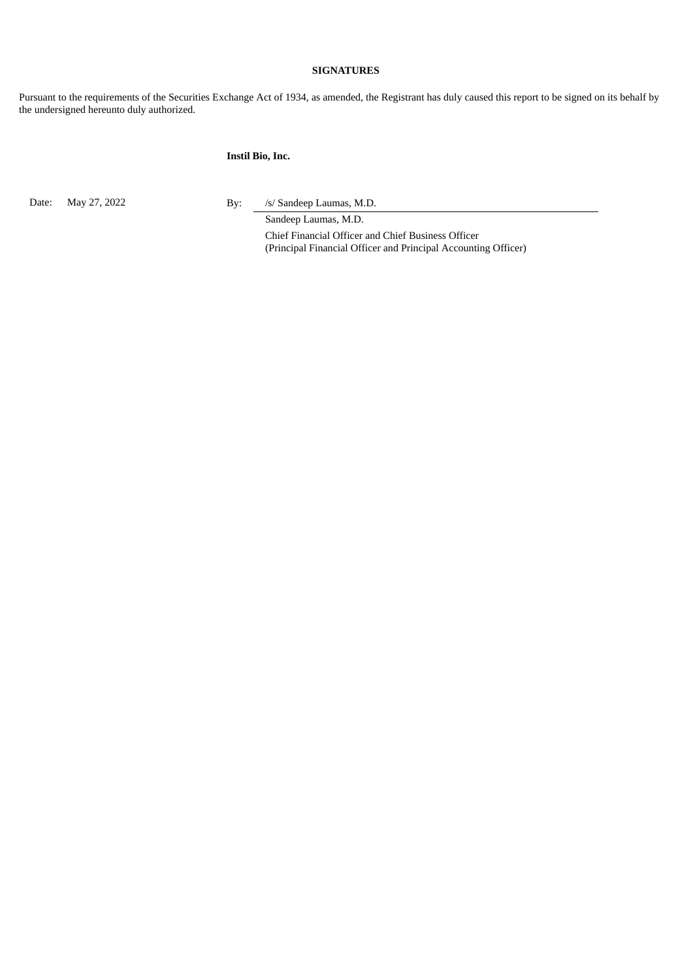#### **SIGNATURES**

Pursuant to the requirements of the Securities Exchange Act of 1934, as amended, the Registrant has duly caused this report to be signed on its behalf by the undersigned hereunto duly authorized.

#### **Instil Bio, Inc.**

Date: May 27, 2022 By: /s/ Sandeep Laumas, M.D.

Sandeep Laumas, M.D. Chief Financial Officer and Chief Business Officer (Principal Financial Officer and Principal Accounting Officer)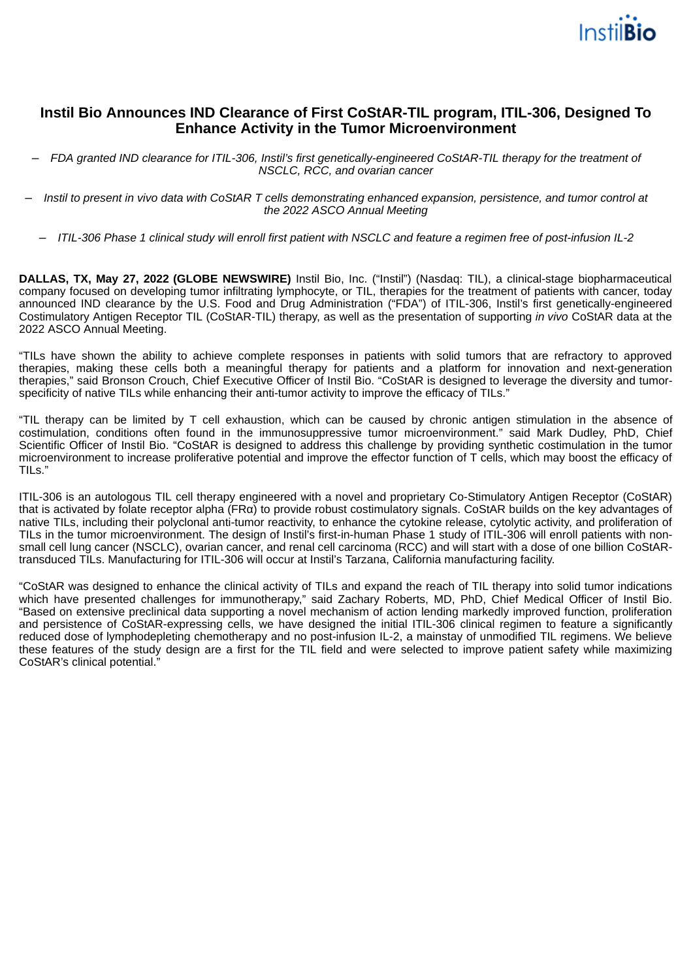

### <span id="page-3-0"></span>**Instil Bio Announces IND Clearance of First CoStAR-TIL program, ITIL-306, Designed To Enhance Activity in the Tumor Microenvironment**

- *FDA granted IND clearance for ITIL-306, Instil's first genetically-engineered CoStAR-TIL therapy for the treatment of NSCLC, RCC, and ovarian cancer*
- Instil to present in vivo data with CoStAR T cells demonstrating enhanced expansion, persistence, and tumor control at *the 2022 ASCO Annual Meeting*

- ITIL-306 Phase 1 clinical study will enroll first patient with NSCLC and feature a regimen free of post-infusion IL-2

**DALLAS, TX, May 27, 2022 (GLOBE NEWSWIRE)** Instil Bio, Inc. ("Instil") (Nasdaq: TIL), a clinical-stage biopharmaceutical company focused on developing tumor infiltrating lymphocyte, or TIL, therapies for the treatment of patients with cancer, today announced IND clearance by the U.S. Food and Drug Administration ("FDA") of ITIL-306, Instil's first genetically-engineered Costimulatory Antigen Receptor TIL (CoStAR-TIL) therapy, as well as the presentation of supporting *in vivo* CoStAR data at the 2022 ASCO Annual Meeting.

"TILs have shown the ability to achieve complete responses in patients with solid tumors that are refractory to approved therapies, making these cells both a meaningful therapy for patients and a platform for innovation and next-generation therapies," said Bronson Crouch, Chief Executive Officer of Instil Bio. "CoStAR is designed to leverage the diversity and tumorspecificity of native TILs while enhancing their anti-tumor activity to improve the efficacy of TILs."

"TIL therapy can be limited by T cell exhaustion, which can be caused by chronic antigen stimulation in the absence of costimulation, conditions often found in the immunosuppressive tumor microenvironment." said Mark Dudley, PhD, Chief Scientific Officer of Instil Bio. "CoStAR is designed to address this challenge by providing synthetic costimulation in the tumor microenvironment to increase proliferative potential and improve the effector function of T cells, which may boost the efficacy of TILs."

ITIL-306 is an autologous TIL cell therapy engineered with a novel and proprietary Co-Stimulatory Antigen Receptor (CoStAR) that is activated by folate receptor alpha (FRα) to provide robust costimulatory signals. CoStAR builds on the key advantages of native TILs, including their polyclonal anti-tumor reactivity, to enhance the cytokine release, cytolytic activity, and proliferation of TILs in the tumor microenvironment. The design of Instil's first-in-human Phase 1 study of ITIL-306 will enroll patients with nonsmall cell lung cancer (NSCLC), ovarian cancer, and renal cell carcinoma (RCC) and will start with a dose of one billion CoStARtransduced TILs. Manufacturing for ITIL-306 will occur at Instil's Tarzana, California manufacturing facility.

"CoStAR was designed to enhance the clinical activity of TILs and expand the reach of TIL therapy into solid tumor indications which have presented challenges for immunotherapy," said Zachary Roberts, MD, PhD, Chief Medical Officer of Instil Bio. "Based on extensive preclinical data supporting a novel mechanism of action lending markedly improved function, proliferation and persistence of CoStAR-expressing cells, we have designed the initial ITIL-306 clinical regimen to feature a significantly reduced dose of lymphodepleting chemotherapy and no post-infusion IL-2, a mainstay of unmodified TIL regimens. We believe these features of the study design are a first for the TIL field and were selected to improve patient safety while maximizing CoStAR's clinical potential."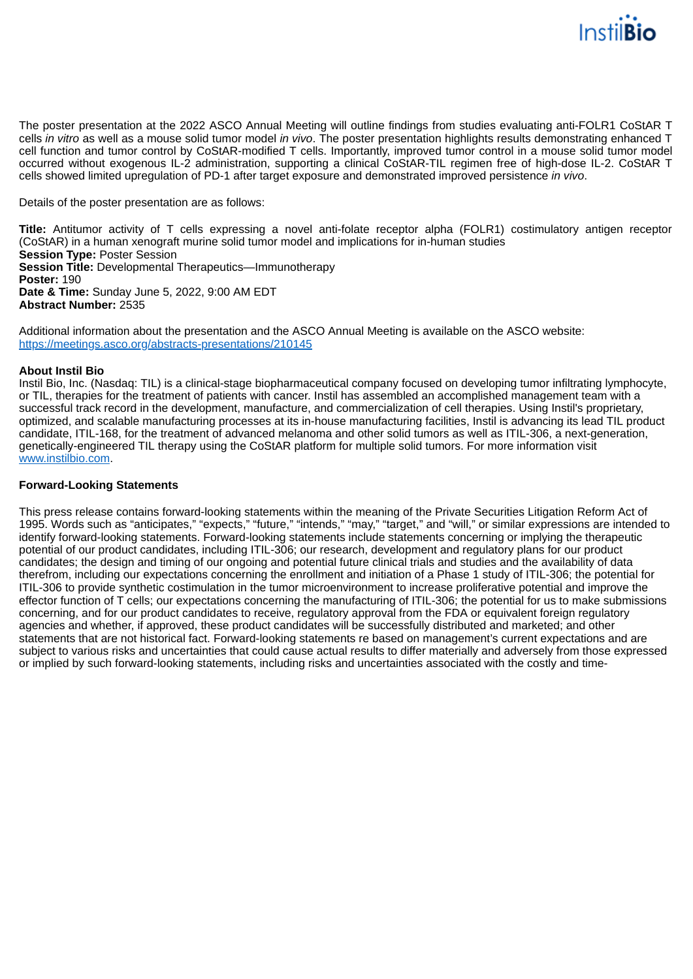

The poster presentation at the 2022 ASCO Annual Meeting will outline findings from studies evaluating anti-FOLR1 CoStAR T cells *in vitro* as well as a mouse solid tumor model *in vivo*. The poster presentation highlights results demonstrating enhanced T cell function and tumor control by CoStAR-modified T cells. Importantly, improved tumor control in a mouse solid tumor model occurred without exogenous IL-2 administration, supporting a clinical CoStAR-TIL regimen free of high-dose IL-2. CoStAR T cells showed limited upregulation of PD-1 after target exposure and demonstrated improved persistence *in vivo*.

Details of the poster presentation are as follows:

**Title:** Antitumor activity of T cells expressing a novel anti-folate receptor alpha (FOLR1) costimulatory antigen receptor (CoStAR) in a human xenograft murine solid tumor model and implications for in-human studies **Session Type:** Poster Session **Session Title:** Developmental Therapeutics—Immunotherapy **Poster:** 190 **Date & Time:** Sunday June 5, 2022, 9:00 AM EDT **Abstract Number:** 2535

Additional information about the presentation and the ASCO Annual Meeting is available on the ASCO website: https://meetings.asco.org/abstracts-presentations/210145

#### **About Instil Bio**

Instil Bio, Inc. (Nasdaq: TIL) is a clinical-stage biopharmaceutical company focused on developing tumor infiltrating lymphocyte, or TIL, therapies for the treatment of patients with cancer. Instil has assembled an accomplished management team with a successful track record in the development, manufacture, and commercialization of cell therapies. Using Instil's proprietary, optimized, and scalable manufacturing processes at its in-house manufacturing facilities, Instil is advancing its lead TIL product candidate, ITIL-168, for the treatment of advanced melanoma and other solid tumors as well as ITIL-306, a next-generation, genetically-engineered TIL therapy using the CoStAR platform for multiple solid tumors. For more information visit www.instilbio.com.

#### **Forward-Looking Statements**

This press release contains forward-looking statements within the meaning of the Private Securities Litigation Reform Act of 1995. Words such as "anticipates," "expects," "future," "intends," "may," "target," and "will," or similar expressions are intended to identify forward-looking statements. Forward-looking statements include statements concerning or implying the therapeutic potential of our product candidates, including ITIL-306; our research, development and regulatory plans for our product candidates; the design and timing of our ongoing and potential future clinical trials and studies and the availability of data therefrom, including our expectations concerning the enrollment and initiation of a Phase 1 study of ITIL-306; the potential for ITIL-306 to provide synthetic costimulation in the tumor microenvironment to increase proliferative potential and improve the effector function of T cells; our expectations concerning the manufacturing of ITIL-306; the potential for us to make submissions concerning, and for our product candidates to receive, regulatory approval from the FDA or equivalent foreign regulatory agencies and whether, if approved, these product candidates will be successfully distributed and marketed; and other statements that are not historical fact. Forward-looking statements re based on management's current expectations and are subject to various risks and uncertainties that could cause actual results to differ materially and adversely from those expressed or implied by such forward-looking statements, including risks and uncertainties associated with the costly and time-